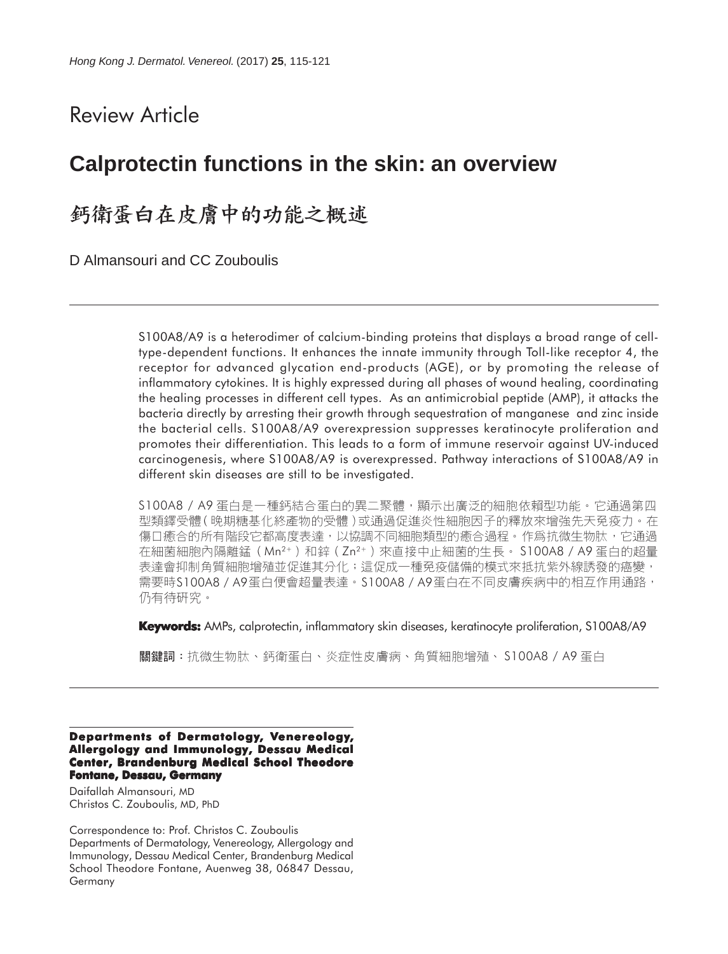# Review Article

## **Calprotectin functions in the skin: an overview**

## 鈣衛蛋白在皮膚中的功能之概述

D Almansouri and CC Zouboulis

S100A8/A9 is a heterodimer of calcium-binding proteins that displays a broad range of celltype-dependent functions. It enhances the innate immunity through Toll-like receptor 4, the receptor for advanced glycation end-products (AGE), or by promoting the release of inflammatory cytokines. It is highly expressed during all phases of wound healing, coordinating the healing processes in different cell types. As an antimicrobial peptide (AMP), it attacks the bacteria directly by arresting their growth through sequestration of manganese and zinc inside the bacterial cells. S100A8/A9 overexpression suppresses keratinocyte proliferation and promotes their differentiation. This leads to a form of immune reservoir against UV-induced carcinogenesis, where S100A8/A9 is overexpressed. Pathway interactions of S100A8/A9 in different skin diseases are still to be investigated.

S100A8 / A9 蛋白是一種鈣結合蛋白的異二聚體,顯示出廣泛的細胞依賴型功能。它通過第四 型類鐸受體(晚期糖基化終產物的受體)或通過促進炎性細胞因子的釋放來增強先天免疫力。在 傷口癒合的所有階段它都高度表達,以協調不同細胞類型的癒合過程。作爲抗微生物肽,它通過 在細菌細胞內隔離錳(Mn<sup>2+</sup>)和鋅(Zn<sup>2+</sup>)來直接中止細菌的生長。 S100A8 / A9 蛋白的超量 表達會抑制角質細胞增殖並促進其分化;這促成一種免疫儲備的模式來抵抗紫外線誘發的癌變; 需要時S100A8 / A9蛋白便會超量表達。S100A8 / A9蛋白在不同皮膚疾病中的相互作用通路, 仍有待研究。

**Keywords:** AMPs, calprotectin, inflammatory skin diseases, keratinocyte proliferation, S100A8/A9

關鍵詞:抗微生物肽、鈣衛蛋白、炎症性皮膚病、角質細胞增殖、 S100A8 / A9 蛋白

#### **Departments of Dermatology, Venereology, Allergology and Immunology, Dessau Medical Center, Brandenburg Medical School Theodore Fontane, Dessau, Germany**

Daifallah Almansouri, MD Christos C. Zouboulis, MD, PhD

Correspondence to: Prof. Christos C. Zouboulis Departments of Dermatology, Venereology, Allergology and Immunology, Dessau Medical Center, Brandenburg Medical School Theodore Fontane, Auenweg 38, 06847 Dessau, Germany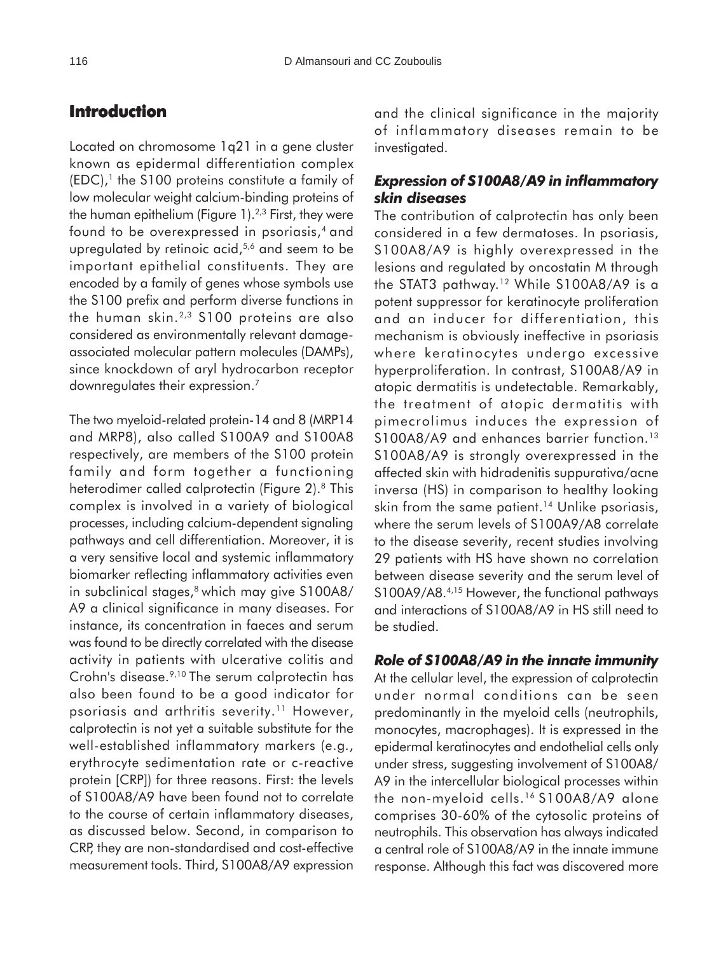## **Introduction**

Located on chromosome 1q21 in a gene cluster known as epidermal differentiation complex  $(EDC)$ ,<sup>1</sup> the S100 proteins constitute a family of low molecular weight calcium-binding proteins of the human epithelium (Figure  $1$ ).<sup>2,3</sup> First, they were found to be overexpressed in psoriasis,4 and upregulated by retinoic acid,<sup>5,6</sup> and seem to be important epithelial constituents. They are encoded by a family of genes whose symbols use the S100 prefix and perform diverse functions in the human skin.<sup>2,3</sup> S100 proteins are also considered as environmentally relevant damageassociated molecular pattern molecules (DAMPs), since knockdown of aryl hydrocarbon receptor downregulates their expression.7

The two myeloid-related protein-14 and 8 (MRP14 and MRP8), also called S100A9 and S100A8 respectively, are members of the S100 protein family and form together a functioning heterodimer called calprotectin (Figure 2).<sup>8</sup> This complex is involved in a variety of biological processes, including calcium-dependent signaling pathways and cell differentiation. Moreover, it is a very sensitive local and systemic inflammatory biomarker reflecting inflammatory activities even in subclinical stages,<sup>8</sup> which may give S100A8/ A9 a clinical significance in many diseases. For instance, its concentration in faeces and serum was found to be directly correlated with the disease activity in patients with ulcerative colitis and Crohn's disease.<sup>9,10</sup> The serum calprotectin has also been found to be a good indicator for psoriasis and arthritis severity.<sup>11</sup> However, calprotectin is not yet a suitable substitute for the well-established inflammatory markers (e.g., erythrocyte sedimentation rate or c-reactive protein [CRP]) for three reasons. First: the levels of S100A8/A9 have been found not to correlate to the course of certain inflammatory diseases, as discussed below. Second, in comparison to CRP, they are non-standardised and cost-effective measurement tools. Third, S100A8/A9 expression

and the clinical significance in the majority of inflammatory diseases remain to be investigated.

### *Expression of S100A8/A9 in inflammatory skin diseases*

The contribution of calprotectin has only been considered in a few dermatoses. In psoriasis, S100A8/A9 is highly overexpressed in the lesions and regulated by oncostatin M through the STAT3 pathway.<sup>12</sup> While S100A8/A9 is a potent suppressor for keratinocyte proliferation and an inducer for differentiation, this mechanism is obviously ineffective in psoriasis where keratinocytes undergo excessive hyperproliferation. In contrast, S100A8/A9 in atopic dermatitis is undetectable. Remarkably, the treatment of atopic dermatitis with pimecrolimus induces the expression of S100A8/A9 and enhances barrier function.<sup>13</sup> S100A8/A9 is strongly overexpressed in the affected skin with hidradenitis suppurativa/acne inversa (HS) in comparison to healthy looking skin from the same patient.<sup>14</sup> Unlike psoriasis, where the serum levels of S100A9/A8 correlate to the disease severity, recent studies involving 29 patients with HS have shown no correlation between disease severity and the serum level of S100A9/A8.4,15 However, the functional pathways and interactions of S100A8/A9 in HS still need to be studied.

### *Role of S100A8/A9 in the innate immunity*

At the cellular level, the expression of calprotectin under normal conditions can be seen predominantly in the myeloid cells (neutrophils, monocytes, macrophages). It is expressed in the epidermal keratinocytes and endothelial cells only under stress, suggesting involvement of S100A8/ A9 in the intercellular biological processes within the non-myeloid cells.16 S100A8/A9 alone comprises 30-60% of the cytosolic proteins of neutrophils. This observation has always indicated a central role of S100A8/A9 in the innate immune response. Although this fact was discovered more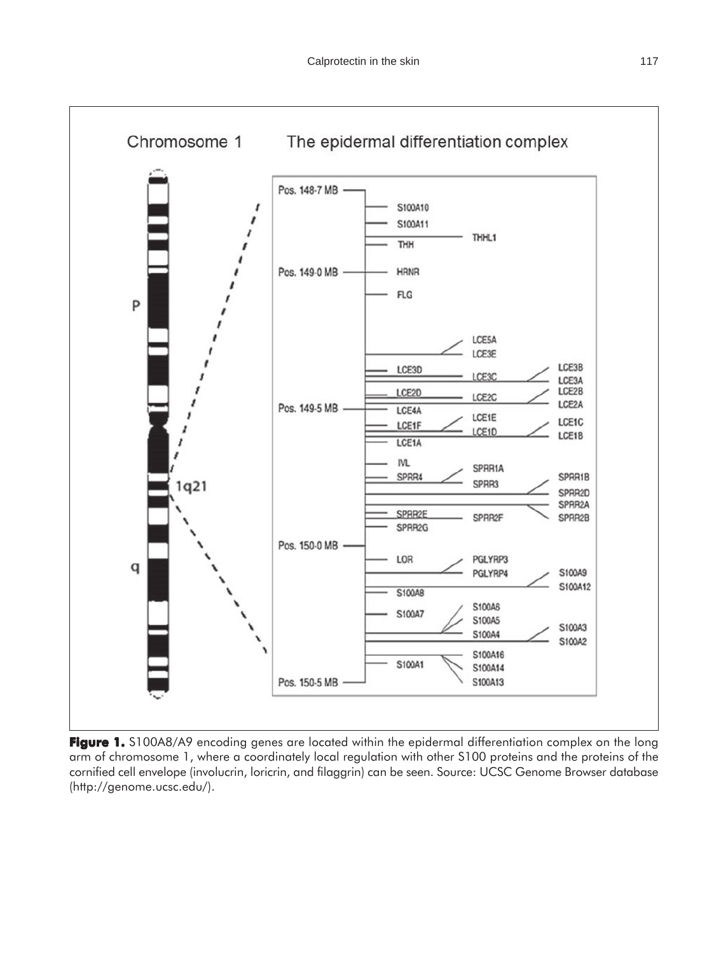

**Figure 1.** S100A8/A9 encoding genes are located within the epidermal differentiation complex on the long arm of chromosome 1, where a coordinately local regulation with other S100 proteins and the proteins of the cornified cell envelope (involucrin, loricrin, and filaggrin) can be seen. Source: UCSC Genome Browser database (http://genome.ucsc.edu/).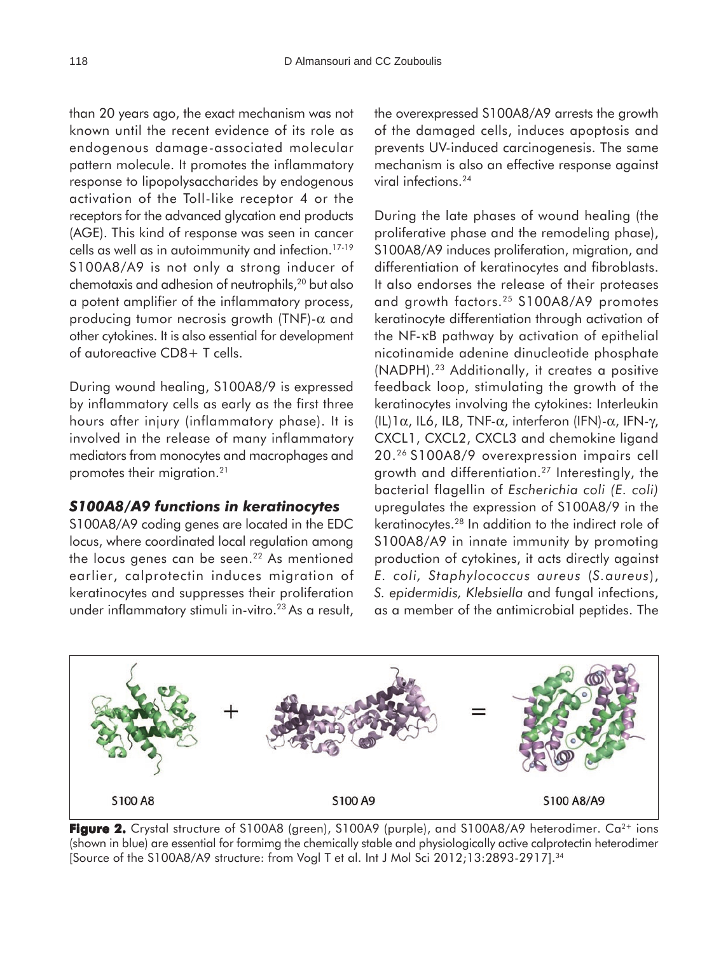than 20 years ago, the exact mechanism was not known until the recent evidence of its role as endogenous damage-associated molecular pattern molecule. It promotes the inflammatory response to lipopolysaccharides by endogenous activation of the Toll-like receptor 4 or the receptors for the advanced glycation end products (AGE). This kind of response was seen in cancer cells as well as in autoimmunity and infection.17-19 S100A8/A9 is not only a strong inducer of chemotaxis and adhesion of neutrophils,<sup>20</sup> but also a potent amplifier of the inflammatory process, producing tumor necrosis growth (TNF)-α and other cytokines. It is also essential for development of autoreactive CD8+ T cells.

During wound healing, S100A8/9 is expressed by inflammatory cells as early as the first three hours after injury (inflammatory phase). It is involved in the release of many inflammatory mediators from monocytes and macrophages and promotes their migration.21

### *S100A8/A9 functions in keratinocytes*

S100A8/A9 coding genes are located in the EDC locus, where coordinated local regulation among the locus genes can be seen.<sup>22</sup> As mentioned earlier, calprotectin induces migration of keratinocytes and suppresses their proliferation under inflammatory stimuli in-vitro.<sup>23</sup> As a result,

the overexpressed S100A8/A9 arrests the growth of the damaged cells, induces apoptosis and prevents UV-induced carcinogenesis. The same mechanism is also an effective response against viral infections.24

During the late phases of wound healing (the proliferative phase and the remodeling phase), S100A8/A9 induces proliferation, migration, and differentiation of keratinocytes and fibroblasts. It also endorses the release of their proteases and growth factors.25 S100A8/A9 promotes keratinocyte differentiation through activation of the NF-κB pathway by activation of epithelial nicotinamide adenine dinucleotide phosphate (NADPH).23 Additionally, it creates a positive feedback loop, stimulating the growth of the keratinocytes involving the cytokines: Interleukin (IL)1α, IL6, IL8, TNF-α, interferon (IFN)-α, IFN-γ, CXCL1, CXCL2, CXCL3 and chemokine ligand 20.26 S100A8/9 overexpression impairs cell growth and differentiation.27 Interestingly, the bacterial flagellin of *Escherichia coli (E. coli)* upregulates the expression of S100A8/9 in the keratinocytes.28 In addition to the indirect role of S100A8/A9 in innate immunity by promoting production of cytokines, it acts directly against *E. coli, Staphylococcus aureus* (*S.aureus*), *S. epidermidis, Klebsiella* and fungal infections, as a member of the antimicrobial peptides. The



**Figure 2.** Crystal structure of S100A8 (green), S100A9 (purple), and S100A8/A9 heterodimer. Ca<sup>2+</sup> ions (shown in blue) are essential for formimg the chemically stable and physiologically active calprotectin heterodimer [Source of the S100A8/A9 structure: from Vogl T et al. Int J Mol Sci 2012;13:2893-2917].34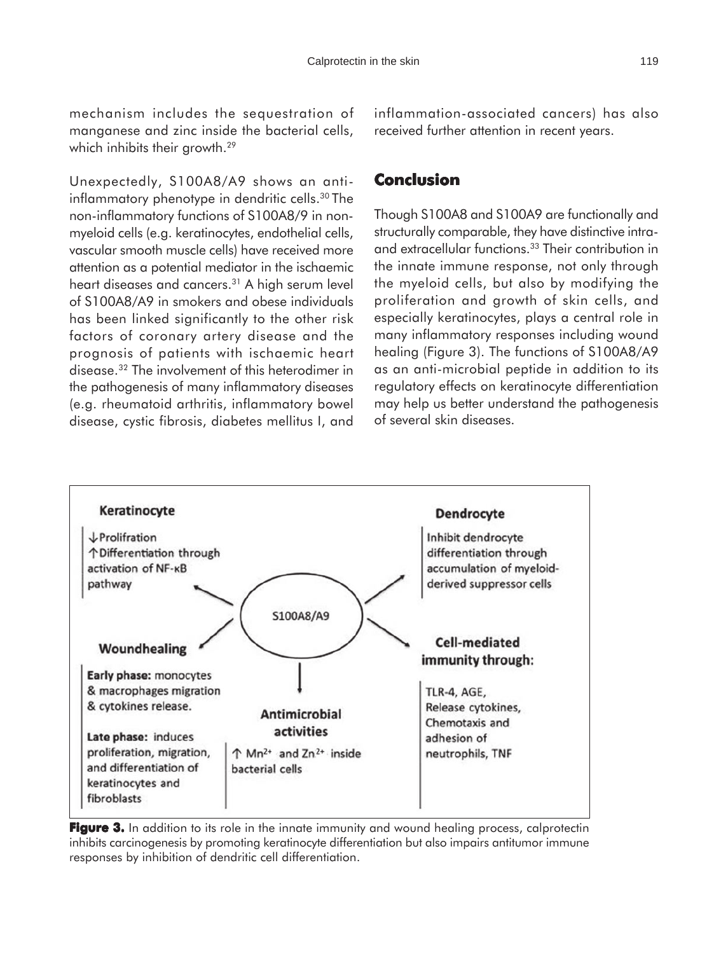mechanism includes the sequestration of manganese and zinc inside the bacterial cells, which inhibits their growth.<sup>29</sup>

Unexpectedly, S100A8/A9 shows an antiinflammatory phenotype in dendritic cells.<sup>30</sup> The non-inflammatory functions of S100A8/9 in nonmyeloid cells (e.g. keratinocytes, endothelial cells, vascular smooth muscle cells) have received more attention as a potential mediator in the ischaemic heart diseases and cancers.<sup>31</sup> A high serum level of S100A8/A9 in smokers and obese individuals has been linked significantly to the other risk factors of coronary artery disease and the prognosis of patients with ischaemic heart disease.32 The involvement of this heterodimer in the pathogenesis of many inflammatory diseases (e.g. rheumatoid arthritis, inflammatory bowel disease, cystic fibrosis, diabetes mellitus I, and

inflammation-associated cancers) has also received further attention in recent years.

### **Conclusion**

Though S100A8 and S100A9 are functionally and structurally comparable, they have distinctive intraand extracellular functions.33 Their contribution in the innate immune response, not only through the myeloid cells, but also by modifying the proliferation and growth of skin cells, and especially keratinocytes, plays a central role in many inflammatory responses including wound healing (Figure 3). The functions of S100A8/A9 as an anti-microbial peptide in addition to its regulatory effects on keratinocyte differentiation may help us better understand the pathogenesis of several skin diseases.



**Figure 3.** In addition to its role in the innate immunity and wound healing process, calprotectin inhibits carcinogenesis by promoting keratinocyte differentiation but also impairs antitumor immune responses by inhibition of dendritic cell differentiation.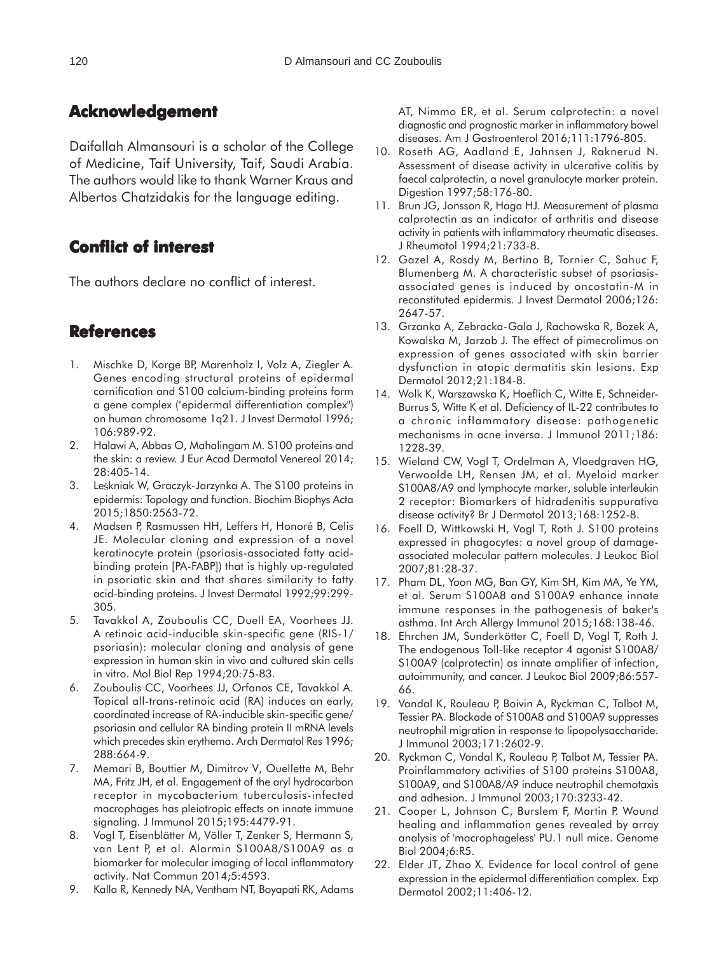## **Acknowledgement**

Daifallah Almansouri is a scholar of the College of Medicine, Taif University, Taif, Saudi Arabia. The authors would like to thank Warner Kraus and Albertos Chatzidakis for the language editing.

## **Conflict of interest of interest**

The authors declare no conflict of interest.

## **References**

- 1. Mischke D, Korge BP, Marenholz I, Volz A, Ziegler A. Genes encoding structural proteins of epidermal cornification and S100 calcium-binding proteins form a gene complex ("epidermal differentiation complex") on human chromosome 1q21. J Invest Dermatol 1996; 106:989-92.
- 2. Halawi A, Abbas O, Mahalingam M. S100 proteins and the skin: a review. J Eur Acad Dermatol Venereol 2014; 28:405-14.
- 3. Leskniak W, Graczyk-Jarzynka A. The S100 proteins in epidermis: Topology and function. Biochim Biophys Acta 2015;1850:2563-72.
- 4. Madsen P, Rasmussen HH, Leffers H, Honoré B, Celis JE. Molecular cloning and expression of a novel keratinocyte protein (psoriasis-associated fatty acidbinding protein [PA-FABP]) that is highly up-regulated in psoriatic skin and that shares similarity to fatty acid-binding proteins. J Invest Dermatol 1992;99:299- 305.
- 5. Tavakkol A, Zouboulis CC, Duell EA, Voorhees JJ. A retinoic acid-inducible skin-specific gene (RIS-1/ psoriasin): molecular cloning and analysis of gene expression in human skin in vivo and cultured skin cells in vitro. Mol Biol Rep 1994;20:75-83.
- 6. Zouboulis CC, Voorhees JJ, Orfanos CE, Tavakkol A. Topical all-trans-retinoic acid (RA) induces an early, coordinated increase of RA-inducible skin-specific gene/ psoriasin and cellular RA binding protein II mRNA levels which precedes skin erythema. Arch Dermatol Res 1996; 288:664-9.
- 7. Memari B, Bouttier M, Dimitrov V, Ouellette M, Behr MA, Fritz JH, et al. Engagement of the aryl hydrocarbon receptor in mycobacterium tuberculosis-infected macrophages has pleiotropic effects on innate immune signaling. J Immunol 2015;195:4479-91.
- 8. Vogl T, Eisenblätter M, Völler T, Zenker S, Hermann S, van Lent P, et al. Alarmin S100A8/S100A9 as a biomarker for molecular imaging of local inflammatory activity. Nat Commun 2014;5:4593.
- 9. Kalla R, Kennedy NA, Ventham NT, Boyapati RK, Adams

AT, Nimmo ER, et al. Serum calprotectin: a novel diagnostic and prognostic marker in inflammatory bowel diseases. Am J Gastroenterol 2016;111:1796-805.

- 10. Roseth AG, Aadland E, Jahnsen J, Raknerud N. Assessment of disease activity in ulcerative colitis by faecal calprotectin, a novel granulocyte marker protein. Digestion 1997;58:176-80.
- 11. Brun JG, Jonsson R, Haga HJ. Measurement of plasma calprotectin as an indicator of arthritis and disease activity in patients with inflammatory rheumatic diseases. J Rheumatol 1994;21:733-8.
- 12. Gazel A, Rosdy M, Bertino B, Tornier C, Sahuc F, Blumenberg M. A characteristic subset of psoriasisassociated genes is induced by oncostatin-M in reconstituted epidermis. J Invest Dermatol 2006;126: 2647-57.
- 13. Grzanka A, Zebracka-Gala J, Rachowska R, Bozek A, Kowalska M, Jarzab J. The effect of pimecrolimus on expression of genes associated with skin barrier dysfunction in atopic dermatitis skin lesions. Exp Dermatol 2012;21:184-8.
- 14. Wolk K, Warszawska K, Hoeflich C, Witte E, Schneider-Burrus S, Witte K et al. Deficiency of IL-22 contributes to a chronic inflammatory disease: pathogenetic mechanisms in acne inversa. J Immunol 2011;186: 1228-39.
- 15. Wieland CW, Vogl T, Ordelman A, Vloedgraven HG, Verwoolde LH, Rensen JM, et al. Myeloid marker S100A8/A9 and lymphocyte marker, soluble interleukin 2 receptor: Biomarkers of hidradenitis suppurativa disease activity? Br J Dermatol 2013;168:1252-8.
- 16. Foell D, Wittkowski H, Vogl T, Roth J. S100 proteins expressed in phagocytes: a novel group of damageassociated molecular pattern molecules. J Leukoc Biol 2007;81:28-37.
- 17. Pham DL, Yoon MG, Ban GY, Kim SH, Kim MA, Ye YM, et al. Serum S100A8 and S100A9 enhance innate immune responses in the pathogenesis of baker's asthma. Int Arch Allergy Immunol 2015;168:138-46.
- 18. Ehrchen JM, Sunderkötter C, Foell D, Vogl T, Roth J. The endogenous Toll-like receptor 4 agonist S100A8/ S100A9 (calprotectin) as innate amplifier of infection, autoimmunity, and cancer. J Leukoc Biol 2009;86:557- 66.
- 19. Vandal K, Rouleau P, Boivin A, Ryckman C, Talbot M, Tessier PA. Blockade of S100A8 and S100A9 suppresses neutrophil migration in response to lipopolysaccharide. J Immunol 2003;171:2602-9.
- 20. Ryckman C, Vandal K, Rouleau P, Talbot M, Tessier PA. Proinflammatory activities of S100 proteins S100A8, S100A9, and S100A8/A9 induce neutrophil chemotaxis and adhesion. J Immunol 2003;170:3233-42.
- 21. Cooper L, Johnson C, Burslem F, Martin P. Wound healing and inflammation genes revealed by array analysis of 'macrophageless' PU.1 null mice. Genome Biol 2004;6:R5.
- 22. Elder JT, Zhao X. Evidence for local control of gene expression in the epidermal differentiation complex. Exp Dermatol 2002;11:406-12.